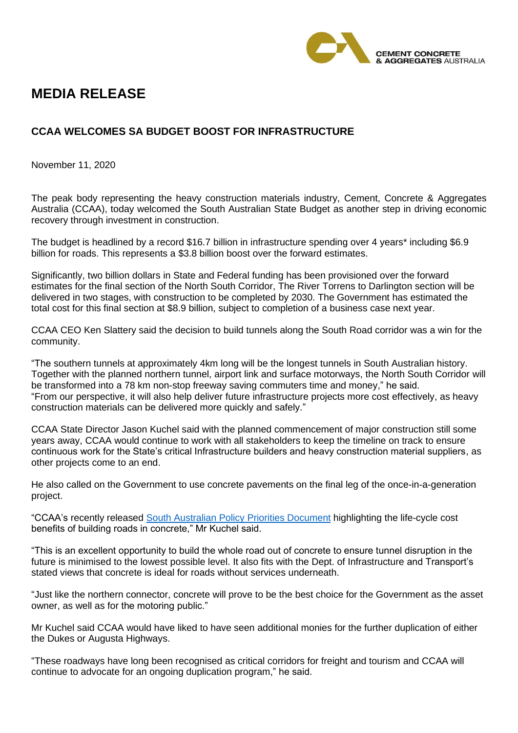

## **MEDIA RELEASE**

## **CCAA WELCOMES SA BUDGET BOOST FOR INFRASTRUCTURE**

November 11, 2020

The peak body representing the heavy construction materials industry, Cement, Concrete & Aggregates Australia (CCAA), today welcomed the South Australian State Budget as another step in driving economic recovery through investment in construction.

The budget is headlined by a record \$16.7 billion in infrastructure spending over 4 years\* including \$6.9 billion for roads. This represents a \$3.8 billion boost over the forward estimates.

Significantly, two billion dollars in State and Federal funding has been provisioned over the forward estimates for the final section of the North South Corridor, The River Torrens to Darlington section will be delivered in two stages, with construction to be completed by 2030. The Government has estimated the total cost for this final section at \$8.9 billion, subject to completion of a business case next year.

CCAA CEO Ken Slattery said the decision to build tunnels along the South Road corridor was a win for the community.

"The southern tunnels at approximately 4km long will be the longest tunnels in South Australian history. Together with the planned northern tunnel, airport link and surface motorways, the North South Corridor will be transformed into a 78 km non-stop freeway saving commuters time and money," he said. "From our perspective, it will also help deliver future infrastructure projects more cost effectively, as heavy construction materials can be delivered more quickly and safely."

CCAA State Director Jason Kuchel said with the planned commencement of major construction still some years away, CCAA would continue to work with all stakeholders to keep the timeline on track to ensure continuous work for the State's critical Infrastructure builders and heavy construction material suppliers, as other projects come to an end.

He also called on the Government to use concrete pavements on the final leg of the once-in-a-generation project.

"CCAA's recently released [South Australian Policy Priorities Document](https://www.ccaa.com.au/imis_prod/documents/1991_SA_Policy%20Priorities_web_R4.pdf) highlighting the life-cycle cost benefits of building roads in concrete," Mr Kuchel said.

"This is an excellent opportunity to build the whole road out of concrete to ensure tunnel disruption in the future is minimised to the lowest possible level. It also fits with the Dept. of Infrastructure and Transport's stated views that concrete is ideal for roads without services underneath.

"Just like the northern connector, concrete will prove to be the best choice for the Government as the asset owner, as well as for the motoring public."

Mr Kuchel said CCAA would have liked to have seen additional monies for the further duplication of either the Dukes or Augusta Highways.

"These roadways have long been recognised as critical corridors for freight and tourism and CCAA will continue to advocate for an ongoing duplication program," he said.